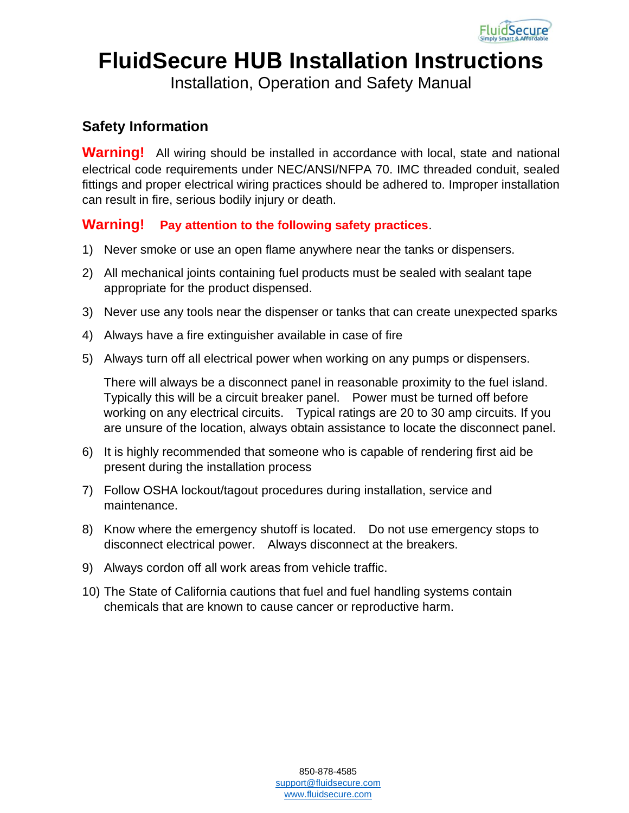

# **FluidSecure HUB Installation Instructions**

Installation, Operation and Safety Manual

### **Safety Information**

**Warning!** All wiring should be installed in accordance with local, state and national electrical code requirements under NEC/ANSI/NFPA 70. IMC threaded conduit, sealed fittings and proper electrical wiring practices should be adhered to. Improper installation can result in fire, serious bodily injury or death.

#### **Warning! Pay attention to the following safety practices**.

- 1) Never smoke or use an open flame anywhere near the tanks or dispensers.
- 2) All mechanical joints containing fuel products must be sealed with sealant tape appropriate for the product dispensed.
- 3) Never use any tools near the dispenser or tanks that can create unexpected sparks
- 4) Always have a fire extinguisher available in case of fire
- 5) Always turn off all electrical power when working on any pumps or dispensers.

There will always be a disconnect panel in reasonable proximity to the fuel island. Typically this will be a circuit breaker panel. Power must be turned off before working on any electrical circuits. Typical ratings are 20 to 30 amp circuits. If you are unsure of the location, always obtain assistance to locate the disconnect panel.

- 6) It is highly recommended that someone who is capable of rendering first aid be present during the installation process
- 7) Follow OSHA lockout/tagout procedures during installation, service and maintenance.
- 8) Know where the emergency shutoff is located. Do not use emergency stops to disconnect electrical power. Always disconnect at the breakers.
- 9) Always cordon off all work areas from vehicle traffic.
- 10) The State of California cautions that fuel and fuel handling systems contain chemicals that are known to cause cancer or reproductive harm.